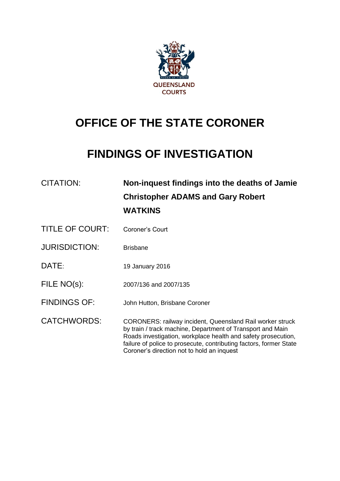

# **OFFICE OF THE STATE CORONER**

# **FINDINGS OF INVESTIGATION**

| CITATION:              | Non-inquest findings into the deaths of Jamie<br><b>Christopher ADAMS and Gary Robert</b><br><b>WATKINS</b>                                                                                                                                                                                                         |
|------------------------|---------------------------------------------------------------------------------------------------------------------------------------------------------------------------------------------------------------------------------------------------------------------------------------------------------------------|
| <b>TITLE OF COURT:</b> | Coroner's Court                                                                                                                                                                                                                                                                                                     |
| <b>JURISDICTION:</b>   | <b>Brisbane</b>                                                                                                                                                                                                                                                                                                     |
| DATE:                  | 19 January 2016                                                                                                                                                                                                                                                                                                     |
| FILE NO(s):            | 2007/136 and 2007/135                                                                                                                                                                                                                                                                                               |
| <b>FINDINGS OF:</b>    | John Hutton, Brisbane Coroner                                                                                                                                                                                                                                                                                       |
| <b>CATCHWORDS:</b>     | <b>CORONERS: railway incident, Queensland Rail worker struck</b><br>by train / track machine, Department of Transport and Main<br>Roads investigation, workplace health and safety prosecution,<br>failure of police to prosecute, contributing factors, former State<br>Coroner's direction not to hold an inquest |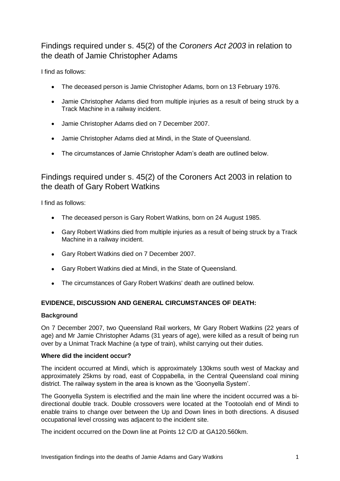# Findings required under s. 45(2) of the *Coroners Act 2003* in relation to the death of Jamie Christopher Adams

I find as follows:

- The deceased person is Jamie Christopher Adams, born on 13 February 1976.
- Jamie Christopher Adams died from multiple injuries as a result of being struck by a Track Machine in a railway incident.
- Jamie Christopher Adams died on 7 December 2007.
- Jamie Christopher Adams died at Mindi, in the State of Queensland.
- The circumstances of Jamie Christopher Adam's death are outlined below.

# Findings required under s. 45(2) of the Coroners Act 2003 in relation to the death of Gary Robert Watkins

I find as follows:

- The deceased person is Gary Robert Watkins, born on 24 August 1985.
- Gary Robert Watkins died from multiple injuries as a result of being struck by a Track Machine in a railway incident.
- Gary Robert Watkins died on 7 December 2007.
- Gary Robert Watkins died at Mindi, in the State of Queensland.
- The circumstances of Gary Robert Watkins' death are outlined below.

# **EVIDENCE, DISCUSSION AND GENERAL CIRCUMSTANCES OF DEATH:**

# **Background**

On 7 December 2007, two Queensland Rail workers, Mr Gary Robert Watkins (22 years of age) and Mr Jamie Christopher Adams (31 years of age), were killed as a result of being run over by a Unimat Track Machine (a type of train), whilst carrying out their duties.

# **Where did the incident occur?**

The incident occurred at Mindi, which is approximately 130kms south west of Mackay and approximately 25kms by road, east of Coppabella, in the Central Queensland coal mining district. The railway system in the area is known as the 'Goonyella System'.

The Goonyella System is electrified and the main line where the incident occurred was a bidirectional double track. Double crossovers were located at the Tootoolah end of Mindi to enable trains to change over between the Up and Down lines in both directions. A disused occupational level crossing was adjacent to the incident site.

The incident occurred on the Down line at Points 12 C/D at GA120.560km.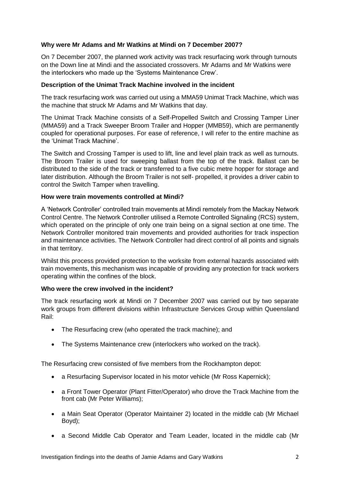# **Why were Mr Adams and Mr Watkins at Mindi on 7 December 2007?**

On 7 December 2007, the planned work activity was track resurfacing work through turnouts on the Down line at Mindi and the associated crossovers. Mr Adams and Mr Watkins were the interlockers who made up the 'Systems Maintenance Crew'.

# **Description of the Unimat Track Machine involved in the incident**

The track resurfacing work was carried out using a MMA59 Unimat Track Machine, which was the machine that struck Mr Adams and Mr Watkins that day.

The Unimat Track Machine consists of a Self-Propelled Switch and Crossing Tamper Liner (MMA59) and a Track Sweeper Broom Trailer and Hopper (MMB59), which are permanently coupled for operational purposes. For ease of reference, I will refer to the entire machine as the 'Unimat Track Machine'.

The Switch and Crossing Tamper is used to lift, line and level plain track as well as turnouts. The Broom Trailer is used for sweeping ballast from the top of the track. Ballast can be distributed to the side of the track or transferred to a five cubic metre hopper for storage and later distribution. Although the Broom Trailer is not self- propelled, it provides a driver cabin to control the Switch Tamper when travelling.

# **How were train movements controlled at Mindi?**

A 'Network Controller' controlled train movements at Mindi remotely from the Mackay Network Control Centre. The Network Controller utilised a Remote Controlled Signaling (RCS) system, which operated on the principle of only one train being on a signal section at one time. The Network Controller monitored train movements and provided authorities for track inspection and maintenance activities. The Network Controller had direct control of all points and signals in that territory.

Whilst this process provided protection to the worksite from external hazards associated with train movements, this mechanism was incapable of providing any protection for track workers operating within the confines of the block.

# **Who were the crew involved in the incident?**

The track resurfacing work at Mindi on 7 December 2007 was carried out by two separate work groups from different divisions within Infrastructure Services Group within Queensland Rail:

- The Resurfacing crew (who operated the track machine): and
- The Systems Maintenance crew (interlockers who worked on the track).

The Resurfacing crew consisted of five members from the Rockhampton depot:

- a Resurfacing Supervisor located in his motor vehicle (Mr Ross Kapernick);
- a Front Tower Operator (Plant Fitter/Operator) who drove the Track Machine from the front cab (Mr Peter Williams);
- a Main Seat Operator (Operator Maintainer 2) located in the middle cab (Mr Michael Boyd);
- a Second Middle Cab Operator and Team Leader, located in the middle cab (Mr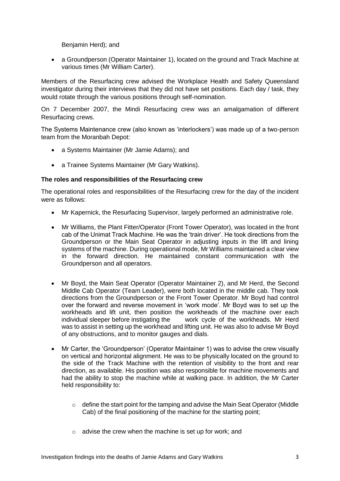Benjamin Herd); and

 a Groundperson (Operator Maintainer 1), located on the ground and Track Machine at various times (Mr William Carter).

Members of the Resurfacing crew advised the Workplace Health and Safety Queensland investigator during their interviews that they did not have set positions. Each day / task, they would rotate through the various positions through self-nomination.

On 7 December 2007, the Mindi Resurfacing crew was an amalgamation of different Resurfacing crews.

The Systems Maintenance crew (also known as 'interlockers') was made up of a two-person team from the Moranbah Depot:

- a Systems Maintainer (Mr Jamie Adams); and
- a Trainee Systems Maintainer (Mr Gary Watkins).

# **The roles and responsibilities of the Resurfacing crew**

The operational roles and responsibilities of the Resurfacing crew for the day of the incident were as follows:

- Mr Kapernick, the Resurfacing Supervisor, largely performed an administrative role.
- Mr Williams, the Plant Fitter/Operator (Front Tower Operator), was located in the front cab of the Unimat Track Machine. He was the 'train driver'. He took directions from the Groundperson or the Main Seat Operator in adjusting inputs in the lift and lining systems of the machine. During operational mode, Mr Williams maintained a clear view in the forward direction. He maintained constant communication with the Groundperson and all operators.
- Mr Boyd, the Main Seat Operator (Operator Maintainer 2), and Mr Herd, the Second Middle Cab Operator (Team Leader), were both located in the middle cab. They took directions from the Groundperson or the Front Tower Operator. Mr Boyd had control over the forward and reverse movement in 'work mode'. Mr Boyd was to set up the workheads and lift unit, then position the workheads of the machine over each individual sleeper before instigating the work cycle of the workheads. Mr Herd was to assist in setting up the workhead and lifting unit. He was also to advise Mr Boyd of any obstructions, and to monitor gauges and dials.
- Mr Carter, the 'Groundperson' (Operator Maintainer 1) was to advise the crew visually on vertical and horizontal alignment. He was to be physically located on the ground to the side of the Track Machine with the retention of visibility to the front and rear direction, as available. His position was also responsible for machine movements and had the ability to stop the machine while at walking pace. In addition, the Mr Carter held responsibility to:
	- o define the start point for the tamping and advise the Main Seat Operator (Middle Cab) of the final positioning of the machine for the starting point;
	- $\circ$  advise the crew when the machine is set up for work; and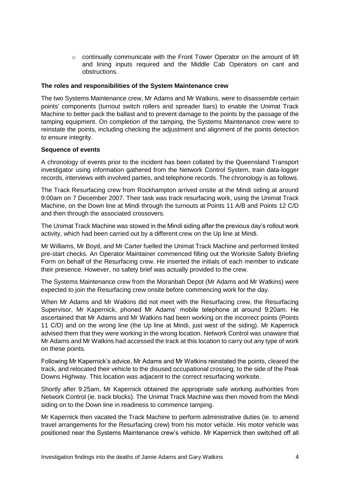$\circ$  continually communicate with the Front Tower Operator on the amount of lift and lining inputs required and the Middle Cab Operators on cant and obstructions.

#### **The roles and responsibilities of the System Maintenance crew**

The two Systems Maintenance crew, Mr Adams and Mr Watkins, were to disassemble certain points' components (turnout switch rollers and spreader bars) to enable the Unimat Track Machine to better pack the ballast and to prevent damage to the points by the passage of the tamping equipment. On completion of the tamping, the Systems Maintenance crew were to reinstate the points, including checking the adjustment and alignment of the points detection to ensure integrity.

#### **Sequence of events**

A chronology of events prior to the incident has been collated by the Queensland Transport investigator using information gathered from the Network Control System, train data-logger records, interviews with involved parties, and telephone records. The chronology is as follows.

The Track Resurfacing crew from Rockhampton arrived onsite at the Mindi siding at around 9:00am on 7 December 2007. Their task was track resurfacing work, using the Unimat Track Machine, on the Down line at Mindi through the turnouts at Points 11 A/B and Points 12 C/D and then through the associated crossovers.

The Unimat Track Machine was stowed in the Mindi siding after the previous day's rollout work activity, which had been carried out by a different crew on the Up line at Mindi.

Mr Williams, Mr Boyd, and Mr Carter fuelled the Unimat Track Machine and performed limited pre-start checks. An Operator Maintainer commenced filling out the Worksite Safety Briefing Form on behalf of the Resurfacing crew. He inserted the initials of each member to indicate their presence. However, no safety brief was actually provided to the crew.

The Systems Maintenance crew from the Moranbah Depot (Mr Adams and Mr Watkins) were expected to join the Resurfacing crew onsite before commencing work for the day.

When Mr Adams and Mr Watkins did not meet with the Resurfacing crew, the Resurfacing Supervisor, Mr Kapernick, phoned Mr Adams' mobile telephone at around 9:20am. He ascertained that Mr Adams and Mr Watkins had been working on the incorrect points (Points 11 C/D) and on the wrong line (the Up line at Mindi, just west of the siding). Mr Kapernick advised them that they were working in the wrong location. Network Control was unaware that Mr Adams and Mr Watkins had accessed the track at this location to carry out any type of work on these points.

Following Mr Kapernick's advice, Mr Adams and Mr Watkins reinstated the points, cleared the track, and relocated their vehicle to the disused occupational crossing, to the side of the Peak Downs Highway. This location was adjacent to the correct resurfacing worksite.

Shortly after 9:25am, Mr Kapernick obtained the appropriate safe working authorities from Network Control (ie. track blocks). The Unimat Track Machine was then moved from the Mindi siding on to the Down line in readiness to commence tamping.

Mr Kapernick then vacated the Track Machine to perform administrative duties (ie. to amend travel arrangements for the Resurfacing crew) from his motor vehicle. His motor vehicle was positioned near the Systems Maintenance crew's vehicle. Mr Kapernick then switched off all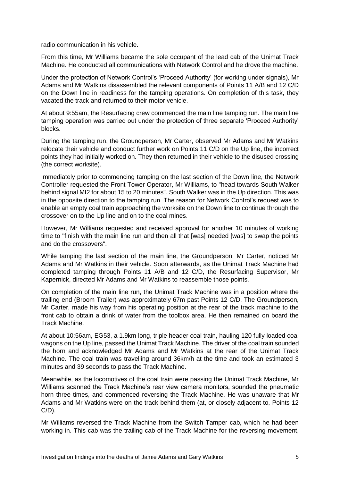radio communication in his vehicle.

From this time, Mr Williams became the sole occupant of the lead cab of the Unimat Track Machine. He conducted all communications with Network Control and he drove the machine.

Under the protection of Network Control's 'Proceed Authority' (for working under signals), Mr Adams and Mr Watkins disassembled the relevant components of Points 11 A/B and 12 C/D on the Down line in readiness for the tamping operations. On completion of this task, they vacated the track and returned to their motor vehicle.

At about 9:55am, the Resurfacing crew commenced the main line tamping run. The main line tamping operation was carried out under the protection of three separate 'Proceed Authority' blocks.

During the tamping run, the Groundperson, Mr Carter, observed Mr Adams and Mr Watkins relocate their vehicle and conduct further work on Points 11 C/D on the Up line, the incorrect points they had initially worked on. They then returned in their vehicle to the disused crossing (the correct worksite).

Immediately prior to commencing tamping on the last section of the Down line, the Network Controller requested the Front Tower Operator, Mr Williams, to "head towards South Walker behind signal MI2 for about 15 to 20 minutes". South Walker was in the Up direction. This was in the opposite direction to the tamping run. The reason for Network Control's request was to enable an empty coal train approaching the worksite on the Down line to continue through the crossover on to the Up line and on to the coal mines.

However, Mr Williams requested and received approval for another 10 minutes of working time to "finish with the main line run and then all that [was] needed [was] to swap the points and do the crossovers".

While tamping the last section of the main line, the Groundperson, Mr Carter, noticed Mr Adams and Mr Watkins in their vehicle. Soon afterwards, as the Unimat Track Machine had completed tamping through Points 11 A/B and 12 C/D, the Resurfacing Supervisor, Mr Kapernick, directed Mr Adams and Mr Watkins to reassemble those points.

On completion of the main line run, the Unimat Track Machine was in a position where the trailing end (Broom Trailer) was approximately 67m past Points 12 C/D. The Groundperson, Mr Carter, made his way from his operating position at the rear of the track machine to the front cab to obtain a drink of water from the toolbox area. He then remained on board the Track Machine.

At about 10:56am, EG53, a 1.9km long, triple header coal train, hauling 120 fully loaded coal wagons on the Up line, passed the Unimat Track Machine. The driver of the coal train sounded the horn and acknowledged Mr Adams and Mr Watkins at the rear of the Unimat Track Machine. The coal train was travelling around 36km/h at the time and took an estimated 3 minutes and 39 seconds to pass the Track Machine.

Meanwhile, as the locomotives of the coal train were passing the Unimat Track Machine, Mr Williams scanned the Track Machine's rear view camera monitors, sounded the pneumatic horn three times, and commenced reversing the Track Machine. He was unaware that Mr Adams and Mr Watkins were on the track behind them (at, or closely adjacent to, Points 12  $C/D$ ).

Mr Williams reversed the Track Machine from the Switch Tamper cab, which he had been working in. This cab was the trailing cab of the Track Machine for the reversing movement,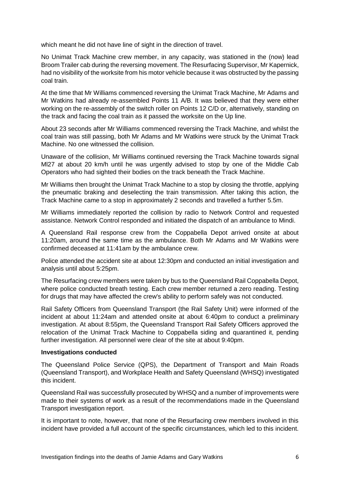which meant he did not have line of sight in the direction of travel.

No Unimat Track Machine crew member, in any capacity, was stationed in the (now) lead Broom Trailer cab during the reversing movement. The Resurfacing Supervisor, Mr Kapernick, had no visibility of the worksite from his motor vehicle because it was obstructed by the passing coal train.

At the time that Mr Williams commenced reversing the Unimat Track Machine, Mr Adams and Mr Watkins had already re-assembled Points 11 A/B. It was believed that they were either working on the re-assembly of the switch roller on Points 12 C/D or, alternatively, standing on the track and facing the coal train as it passed the worksite on the Up line.

About 23 seconds after Mr Williams commenced reversing the Track Machine, and whilst the coal train was still passing, both Mr Adams and Mr Watkins were struck by the Unimat Track Machine. No one witnessed the collision.

Unaware of the collision, Mr Williams continued reversing the Track Machine towards signal Ml27 at about 20 km/h until he was urgently advised to stop by one of the Middle Cab Operators who had sighted their bodies on the track beneath the Track Machine.

Mr Williams then brought the Unimat Track Machine to a stop by closing the throttle, applying the pneumatic braking and deselecting the train transmission. After taking this action, the Track Machine came to a stop in approximately 2 seconds and travelled a further 5.5m.

Mr Williams immediately reported the collision by radio to Network Control and requested assistance. Network Control responded and initiated the dispatch of an ambulance to Mindi.

A Queensland Rail response crew from the Coppabella Depot arrived onsite at about 11:20am, around the same time as the ambulance. Both Mr Adams and Mr Watkins were confirmed deceased at 11:41am by the ambulance crew.

Police attended the accident site at about 12:30pm and conducted an initial investigation and analysis until about 5:25pm.

The Resurfacing crew members were taken by bus to the Queensland Rail Coppabella Depot, where police conducted breath testing. Each crew member returned a zero reading. Testing for drugs that may have affected the crew's ability to perform safely was not conducted.

Rail Safety Officers from Queensland Transport (the Rail Safety Unit) were informed of the incident at about 11:24am and attended onsite at about 6:40pm to conduct a preliminary investigation. At about 8:55pm, the Queensland Transport Rail Safety Officers approved the relocation of the Unimat Track Machine to Coppabella siding and quarantined it, pending further investigation. All personnel were clear of the site at about 9:40pm.

# **Investigations conducted**

The Queensland Police Service (QPS), the Department of Transport and Main Roads (Queensland Transport), and Workplace Health and Safety Queensland (WHSQ) investigated this incident.

Queensland Rail was successfully prosecuted by WHSQ and a number of improvements were made to their systems of work as a result of the recommendations made in the Queensland Transport investigation report.

It is important to note, however, that none of the Resurfacing crew members involved in this incident have provided a full account of the specific circumstances, which led to this incident.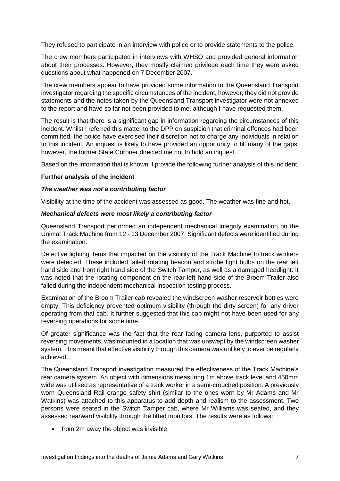They refused to participate in an interview with police or to provide statements to the police.

The crew members participated in interviews with WHSQ and provided general information about their processes. However, they mostly claimed privilege each time they were asked questions about what happened on 7 December 2007.

The crew members appear to have provided some information to the Queensland Transport investigator regarding the specific circumstances of the incident, however, they did not provide statements and the notes taken by the Queensland Transport investigator were not annexed to the report and have so far not been provided to me, although I have requested them.

The result is that there is a significant gap in information regarding the circumstances of this incident. Whilst I referred this matter to the DPP on suspicion that criminal offences had been committed, the police have exercised their discretion not to charge any individuals in relation to this incident. An inquest is likely to have provided an opportunity to fill many of the gaps, however, the former State Coroner directed me not to hold an inquest.

Based on the information that is known, I provide the following further analysis of this incident.

#### **Further analysis of the incident**

#### *The weather was not a contributing factor*

Visibility at the time of the accident was assessed as good. The weather was fine and hot.

#### *Mechanical defects were most likely a contributing factor*

Queensland Transport performed an independent mechanical integrity examination on the Unimat Track Machine from 12 - 13 December 2007. Significant defects were identified during the examination.

Defective lighting items that impacted on the visibility of the Track Machine to track workers were detected. These included failed rotating beacon and strobe light bulbs on the rear left hand side and front right hand side of the Switch Tamper, as well as a damaged headlight. It was noted that the rotating component on the rear left hand side of the Broom Trailer also failed during the independent mechanical inspection testing process.

Examination of the Broom Trailer cab revealed the windscreen washer reservoir bottles were empty. This deficiency prevented optimum visibility (through the dirty screen) for any driver operating from that cab. It further suggested that this cab might not have been used for any reversing operations for some time.

Of greater significance was the fact that the rear facing camera lens, purported to assist reversing movements, was mounted in a location that was unswept by the windscreen washer system. This meant that effective visibility through this camera was unlikely to ever be regularly achieved.

The Queensland Transport investigation measured the effectiveness of the Track Machine's rear camera system. An object with dimensions measuring 1m above track level and 450mm wide was utilised as representative of a track worker in a semi-crouched position. A previously worn Queensland Rail orange safety shirt (similar to the ones worn by Mr Adams and Mr Watkins) was attached to this apparatus to add depth and realism to the assessment. Two persons were seated in the Switch Tamper cab, where Mr Williams was seated, and they assessed rearward visibility through the fitted monitors. The results were as follows:

• from 2m away the object was invisible;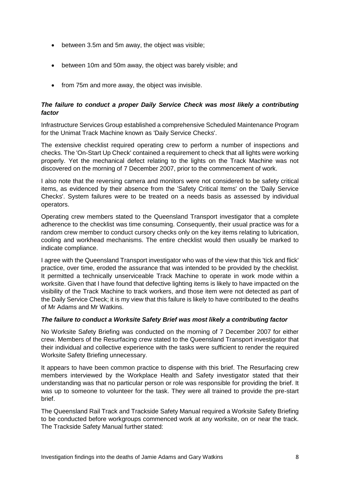- between 3.5m and 5m away, the object was visible;
- between 10m and 50m away, the object was barely visible; and
- from 75m and more away, the object was invisible.

# *The failure to conduct a proper Daily Service Check was most likely a contributing factor*

Infrastructure Services Group established a comprehensive Scheduled Maintenance Program for the Unimat Track Machine known as 'Daily Service Checks'.

The extensive checklist required operating crew to perform a number of inspections and checks. The 'On-Start Up Check' contained a requirement to check that all lights were working properly. Yet the mechanical defect relating to the lights on the Track Machine was not discovered on the morning of 7 December 2007, prior to the commencement of work.

I also note that the reversing camera and monitors were not considered to be safety critical items, as evidenced by their absence from the 'Safety Critical Items' on the 'Daily Service Checks'. System failures were to be treated on a needs basis as assessed by individual operators.

Operating crew members stated to the Queensland Transport investigator that a complete adherence to the checklist was time consuming. Consequently, their usual practice was for a random crew member to conduct cursory checks only on the key items relating to lubrication, cooling and workhead mechanisms. The entire checklist would then usually be marked to indicate compliance.

I agree with the Queensland Transport investigator who was of the view that this 'tick and flick' practice, over time, eroded the assurance that was intended to be provided by the checklist. It permitted a technically unserviceable Track Machine to operate in work mode within a worksite. Given that I have found that defective lighting items is likely to have impacted on the visibility of the Track Machine to track workers, and those item were not detected as part of the Daily Service Check; it is my view that this failure is likely to have contributed to the deaths of Mr Adams and Mr Watkins.

# *The failure to conduct a Worksite Safety Brief was most likely a contributing factor*

No Worksite Safety Briefing was conducted on the morning of 7 December 2007 for either crew. Members of the Resurfacing crew stated to the Queensland Transport investigator that their individual and collective experience with the tasks were sufficient to render the required Worksite Safety Briefing unnecessary.

It appears to have been common practice to dispense with this brief. The Resurfacing crew members interviewed by the Workplace Health and Safety investigator stated that their understanding was that no particular person or role was responsible for providing the brief. It was up to someone to volunteer for the task. They were all trained to provide the pre-start brief.

The Queensland Rail Track and Trackside Safety Manual required a Worksite Safety Briefing to be conducted before workgroups commenced work at any worksite, on or near the track. The Trackside Safety Manual further stated: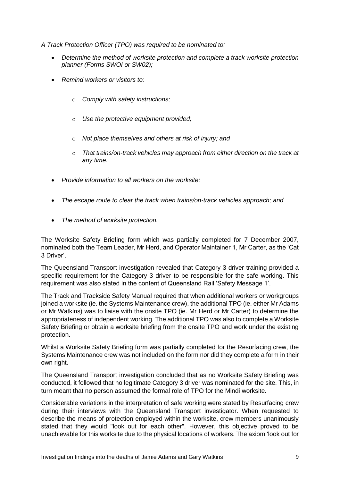*A Track Protection Officer (TPO) was required to be nominated to:*

- *Determine the method of worksite protection and complete a track worksite protection planner (Forms SWOI or SW02);*
- *Remind workers or visitors to:*
	- o *Comply with safety instructions;*
	- o *Use the protective equipment provided;*
	- o *Not place themselves and others at risk of injury; and*
	- o *That trains/on-track vehicles may approach from either direction on the track at any time.*
- *Provide information to all workers on the worksite;*
- *The escape route to clear the track when trains/on-track vehicles approach; and*
- *The method of worksite protection.*

The Worksite Safety Briefing form which was partially completed for 7 December 2007, nominated both the Team Leader, Mr Herd, and Operator Maintainer 1, Mr Carter, as the 'Cat 3 Driver'.

The Queensland Transport investigation revealed that Category 3 driver training provided a specific requirement for the Category 3 driver to be responsible for the safe working. This requirement was also stated in the content of Queensland Rail 'Safety Message 1'.

The Track and Trackside Safety Manual required that when additional workers or workgroups joined a worksite (ie. the Systems Maintenance crew), the additional TPO (ie. either Mr Adams or Mr Watkins) was to liaise with the onsite TPO (ie. Mr Herd or Mr Carter) to determine the appropriateness of independent working. The additional TPO was also to complete a Worksite Safety Briefing or obtain a worksite briefing from the onsite TPO and work under the existing protection.

Whilst a Worksite Safety Briefing form was partially completed for the Resurfacing crew, the Systems Maintenance crew was not included on the form nor did they complete a form in their own right.

The Queensland Transport investigation concluded that as no Worksite Safety Briefing was conducted, it followed that no legitimate Category 3 driver was nominated for the site. This, in turn meant that no person assumed the formal role of TPO for the Mindi worksite.

Considerable variations in the interpretation of safe working were stated by Resurfacing crew during their interviews with the Queensland Transport investigator. When requested to describe the means of protection employed within the worksite, crew members unanimously stated that they would "look out for each other". However, this objective proved to be unachievable for this worksite due to the physical locations of workers. The axiom 'look out for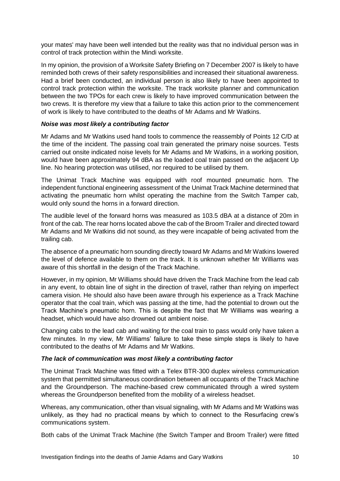your mates' may have been well intended but the reality was that no individual person was in control of track protection within the Mindi worksite.

In my opinion, the provision of a Worksite Safety Briefing on 7 December 2007 is likely to have reminded both crews of their safety responsibilities and increased their situational awareness. Had a brief been conducted, an individual person is also likely to have been appointed to control track protection within the worksite. The track worksite planner and communication between the two TPOs for each crew is likely to have improved communication between the two crews. It is therefore my view that a failure to take this action prior to the commencement of work is likely to have contributed to the deaths of Mr Adams and Mr Watkins.

# *Noise was most likely a contributing factor*

Mr Adams and Mr Watkins used hand tools to commence the reassembly of Points 12 C/D at the time of the incident. The passing coal train generated the primary noise sources. Tests carried out onsite indicated noise levels for Mr Adams and Mr Watkins, in a working position, would have been approximately 94 dBA as the loaded coal train passed on the adjacent Up line. No hearing protection was utilised, nor required to be utilised by them.

The Unimat Track Machine was equipped with roof mounted pneumatic horn. The independent functional engineering assessment of the Unimat Track Machine determined that activating the pneumatic horn whilst operating the machine from the Switch Tamper cab, would only sound the horns in a forward direction.

The audible level of the forward horns was measured as 103.5 dBA at a distance of 20m in front of the cab. The rear horns located above the cab of the Broom Trailer and directed toward Mr Adams and Mr Watkins did not sound, as they were incapable of being activated from the trailing cab.

The absence of a pneumatic horn sounding directly toward Mr Adams and Mr Watkins lowered the level of defence available to them on the track. It is unknown whether Mr Williams was aware of this shortfall in the design of the Track Machine.

However, in my opinion, Mr Williams should have driven the Track Machine from the lead cab in any event, to obtain line of sight in the direction of travel, rather than relying on imperfect camera vision. He should also have been aware through his experience as a Track Machine operator that the coal train, which was passing at the time, had the potential to drown out the Track Machine's pneumatic horn. This is despite the fact that Mr Williams was wearing a headset, which would have also drowned out ambient noise.

Changing cabs to the lead cab and waiting for the coal train to pass would only have taken a few minutes. In my view, Mr Williams' failure to take these simple steps is likely to have contributed to the deaths of Mr Adams and Mr Watkins.

# *The lack of communication was most likely a contributing factor*

The Unimat Track Machine was fitted with a Telex BTR-300 duplex wireless communication system that permitted simultaneous coordination between all occupants of the Track Machine and the Groundperson. The machine-based crew communicated through a wired system whereas the Groundperson benefited from the mobility of a wireless headset.

Whereas, any communication, other than visual signaling, with Mr Adams and Mr Watkins was unlikely, as they had no practical means by which to connect to the Resurfacing crew's communications system.

Both cabs of the Unimat Track Machine (the Switch Tamper and Broom Trailer) were fitted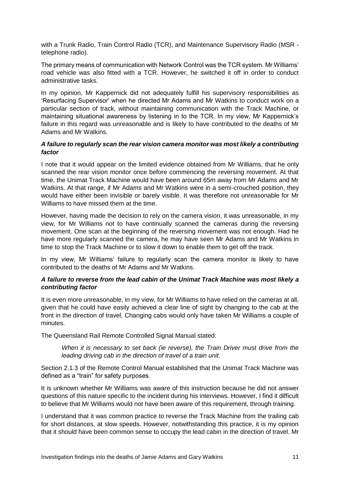with a Trunk Radio, Train Control Radio (TCR), and Maintenance Supervisory Radio (MSR telephone radio).

The primary means of communication with Network Control was the TCR system. Mr Williams' road vehicle was also fitted with a TCR. However, he switched it off in order to conduct administrative tasks.

In my opinion, Mr Kappernick did not adequately fulfill his supervisory responsibilities as 'Resurfacing Supervisor' when he directed Mr Adams and Mr Watkins to conduct work on a particular section of track, without maintaining communication with the Track Machine, or maintaining situational awareness by listening in to the TCR. In my view, Mr Kappernick's failure in this regard was unreasonable and is likely to have contributed to the deaths of Mr Adams and Mr Watkins.

# *A failure to regularly scan the rear vision camera monitor was most likely a contributing factor*

I note that it would appear on the limited evidence obtained from Mr Williams, that he only scanned the rear vision monitor once before commencing the reversing movement. At that time, the Unimat Track Machine would have been around 65m away from Mr Adams and Mr Watkins. At that range, if Mr Adams and Mr Watkins were in a semi-crouched position, they would have either been invisible or barely visible. It was therefore not unreasonable for Mr Williams to have missed them at the time.

However, having made the decision to rely on the camera vision, it was unreasonable, in my view, for Mr Williams not to have continually scanned the cameras during the reversing movement. One scan at the beginning of the reversing movement was not enough. Had he have more regularly scanned the camera, he may have seen Mr Adams and Mr Watkins in time to stop the Track Machine or to slow it down to enable them to get off the track.

In my view, Mr Williams' failure to regularly scan the camera monitor is likely to have contributed to the deaths of Mr Adams and Mr Watkins.

# *A failure to reverse from the lead cabin of the Unimat Track Machine was most likely a contributing factor*

It is even more unreasonable, in my view, for Mr Williams to have relied on the cameras at all, given that he could have easily achieved a clear line of sight by changing to the cab at the front in the direction of travel. Changing cabs would only have taken Mr Williams a couple of minutes.

The Queensland Rail Remote Controlled Signal Manual stated:

*When it is necessary to set back (ie reverse), the Train Driver must drive from the leading driving cab in the direction of travel of a train unit.* 

Section 2.1.3 of the Remote Control Manual established that the Unimat Track Machine was defined as a "train" for safety purposes.

It is unknown whether Mr Williams was aware of this instruction because he did not answer questions of this nature specific to the incident during his interviews. However, I find it difficult to believe that Mr Williams would not have been aware of this requirement, through training.

I understand that it was common practice to reverse the Track Machine from the trailing cab for short distances, at slow speeds. However, notwithstanding this practice, it is my opinion that it should have been common sense to occupy the lead cabin in the direction of travel. Mr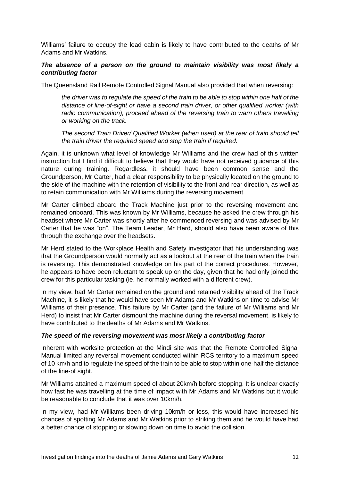Williams' failure to occupy the lead cabin is likely to have contributed to the deaths of Mr Adams and Mr Watkins.

# *The absence of a person on the ground to maintain visibility was most likely a contributing factor*

The Queensland Rail Remote Controlled Signal Manual also provided that when reversing:

*the driver was to regulate the speed of the train to be able to stop within one half of the distance of line-of-sight or have a second train driver, or other qualified worker (with radio communication), proceed ahead of the reversing train to warn others travelling or working on the track.* 

*The second Train Driver/ Qualified Worker (when used) at the rear of train should tell the train driver the required speed and stop the train if required.*

Again, it is unknown what level of knowledge Mr Williams and the crew had of this written instruction but I find it difficult to believe that they would have not received guidance of this nature during training. Regardless, it should have been common sense and the Groundperson, Mr Carter, had a clear responsibility to be physically located on the ground to the side of the machine with the retention of visibility to the front and rear direction, as well as to retain communication with Mr Williams during the reversing movement.

Mr Carter climbed aboard the Track Machine just prior to the reversing movement and remained onboard. This was known by Mr Williams, because he asked the crew through his headset where Mr Carter was shortly after he commenced reversing and was advised by Mr Carter that he was "on". The Team Leader, Mr Herd, should also have been aware of this through the exchange over the headsets.

Mr Herd stated to the Workplace Health and Safety investigator that his understanding was that the Groundperson would normally act as a lookout at the rear of the train when the train is reversing. This demonstrated knowledge on his part of the correct procedures. However, he appears to have been reluctant to speak up on the day, given that he had only joined the crew for this particular tasking (ie. he normally worked with a different crew).

In my view, had Mr Carter remained on the ground and retained visibility ahead of the Track Machine, it is likely that he would have seen Mr Adams and Mr Watkins on time to advise Mr Williams of their presence. This failure by Mr Carter (and the failure of Mr Williams and Mr Herd) to insist that Mr Carter dismount the machine during the reversal movement, is likely to have contributed to the deaths of Mr Adams and Mr Watkins.

# *The speed of the reversing movement was most likely a contributing factor*

Inherent with worksite protection at the Mindi site was that the Remote Controlled Signal Manual limited any reversal movement conducted within RCS territory to a maximum speed of 10 km/h and to regulate the speed of the train to be able to stop within one-half the distance of the line-of sight.

Mr Williams attained a maximum speed of about 20km/h before stopping. It is unclear exactly how fast he was travelling at the time of impact with Mr Adams and Mr Watkins but it would be reasonable to conclude that it was over 10km/h.

In my view, had Mr Williams been driving 10km/h or less, this would have increased his chances of spotting Mr Adams and Mr Watkins prior to striking them and he would have had a better chance of stopping or slowing down on time to avoid the collision.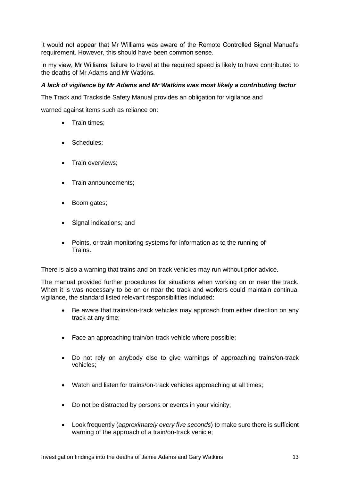It would not appear that Mr Williams was aware of the Remote Controlled Signal Manual's requirement. However, this should have been common sense.

In my view, Mr Williams' failure to travel at the required speed is likely to have contributed to the deaths of Mr Adams and Mr Watkins.

# *A lack of vigilance by Mr Adams and Mr Watkins was most likely a contributing factor*

The Track and Trackside Safety Manual provides an obligation for vigilance and

warned against items such as reliance on:

- Train times:
- Schedules:
- Train overviews;
- Train announcements:
- Boom gates;
- Signal indications; and
- Points, or train monitoring systems for information as to the running of Trains.

There is also a warning that trains and on-track vehicles may run without prior advice.

The manual provided further procedures for situations when working on or near the track. When it is was necessary to be on or near the track and workers could maintain continual vigilance, the standard listed relevant responsibilities included:

- Be aware that trains/on-track vehicles may approach from either direction on any track at any time;
- Face an approaching train/on-track vehicle where possible;
- Do not rely on anybody else to give warnings of approaching trains/on-track vehicles;
- Watch and listen for trains/on-track vehicles approaching at all times;
- Do not be distracted by persons or events in your vicinity;
- Look frequently (*approximately every five seconds*) to make sure there is sufficient warning of the approach of a train/on-track vehicle;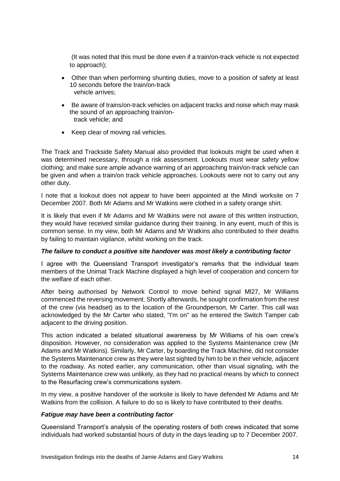(It was noted that this must be done even if a train/on-track vehicle is not expected to approach);

- Other than when performing shunting duties, move to a position of safety at least 10 seconds before the train/on-track vehicle arrives;
- Be aware of trains/on-track vehicles on adjacent tracks and noise which may mask the sound of an approaching train/on track vehicle; and
- Keep clear of moving rail vehicles.

The Track and Trackside Safety Manual also provided that lookouts might be used when it was determined necessary, through a risk assessment. Lookouts must wear safety yellow clothing; and make sure ample advance warning of an approaching train/on-track vehicle can be given and when a train/on track vehicle approaches. Lookouts were not to carry out any other duty.

I note that a lookout does not appear to have been appointed at the Mindi worksite on 7 December 2007. Both Mr Adams and Mr Watkins were clothed in a safety orange shirt.

It is likely that even if Mr Adams and Mr Watkins were not aware of this written instruction, they would have received similar guidance during their training. In any event, much of this is common sense. In my view, both Mr Adams and Mr Watkins also contributed to their deaths by failing to maintain vigilance, whilst working on the track.

# *The failure to conduct a positive site handover was most likely a contributing factor*

I agree with the Queensland Transport investigator's remarks that the individual team members of the Unimat Track Machine displayed a high level of cooperation and concern for the welfare of each other.

After being authorised by Network Control to move behind signal Ml27, Mr Williams commenced the reversing movement. Shortly afterwards, he sought confirmation from the rest of the crew (via headset) as to the location of the Groundperson, Mr Carter. This call was acknowledged by the Mr Carter who stated, "I'm on" as he entered the Switch Tamper cab adjacent to the driving position.

This action indicated a belated situational awareness by Mr Williams of his own crew's disposition. However, no consideration was applied to the Systems Maintenance crew (Mr Adams and Mr Watkins). Similarly, Mr Carter, by boarding the Track Machine, did not consider the Systems Maintenance crew as they were last sighted by him to be in their vehicle, adjacent to the roadway. As noted earlier, any communication, other than visual signaling, with the Systems Maintenance crew was unlikely, as they had no practical means by which to connect to the Resurfacing crew's communications system.

In my view, a positive handover of the worksite is likely to have defended Mr Adams and Mr Watkins from the collision. A failure to do so is likely to have contributed to their deaths.

# *Fatigue may have been a contributing factor*

Queensland Transport's analysis of the operating rosters of both crews indicated that some individuals had worked substantial hours of duty in the days leading up to 7 December 2007.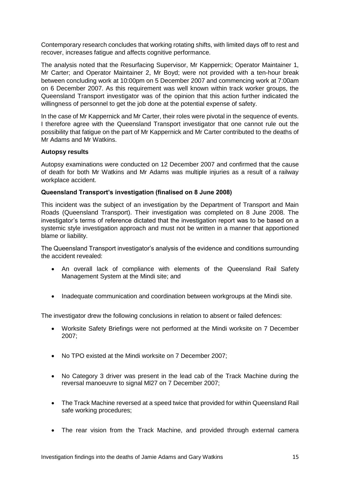Contemporary research concludes that working rotating shifts, with limited days off to rest and recover, increases fatigue and affects cognitive performance.

The analysis noted that the Resurfacing Supervisor, Mr Kappernick; Operator Maintainer 1, Mr Carter; and Operator Maintainer 2, Mr Boyd; were not provided with a ten-hour break between concluding work at 10:00pm on 5 December 2007 and commencing work at 7:00am on 6 December 2007. As this requirement was well known within track worker groups, the Queensland Transport investigator was of the opinion that this action further indicated the willingness of personnel to get the job done at the potential expense of safety.

In the case of Mr Kappernick and Mr Carter, their roles were pivotal in the sequence of events. I therefore agree with the Queensland Transport investigator that one cannot rule out the possibility that fatigue on the part of Mr Kappernick and Mr Carter contributed to the deaths of Mr Adams and Mr Watkins.

#### **Autopsy results**

Autopsy examinations were conducted on 12 December 2007 and confirmed that the cause of death for both Mr Watkins and Mr Adams was multiple injuries as a result of a railway workplace accident.

#### **Queensland Transport's investigation (finalised on 8 June 2008)**

This incident was the subject of an investigation by the Department of Transport and Main Roads (Queensland Transport). Their investigation was completed on 8 June 2008. The investigator's terms of reference dictated that the investigation report was to be based on a systemic style investigation approach and must not be written in a manner that apportioned blame or liability.

The Queensland Transport investigator's analysis of the evidence and conditions surrounding the accident revealed:

- An overall lack of compliance with elements of the Queensland Rail Safety Management System at the Mindi site; and
- Inadequate communication and coordination between workgroups at the Mindi site.

The investigator drew the following conclusions in relation to absent or failed defences:

- Worksite Safety Briefings were not performed at the Mindi worksite on 7 December 2007;
- No TPO existed at the Mindi worksite on 7 December 2007;
- No Category 3 driver was present in the lead cab of the Track Machine during the reversal manoeuvre to signal Ml27 on 7 December 2007;
- The Track Machine reversed at a speed twice that provided for within Queensland Rail safe working procedures;
- The rear vision from the Track Machine, and provided through external camera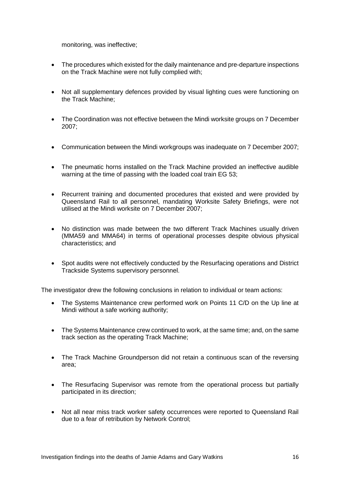monitoring, was ineffective;

- The procedures which existed for the daily maintenance and pre-departure inspections on the Track Machine were not fully complied with;
- Not all supplementary defences provided by visual lighting cues were functioning on the Track Machine;
- The Coordination was not effective between the Mindi worksite groups on 7 December 2007;
- Communication between the Mindi workgroups was inadequate on 7 December 2007;
- The pneumatic horns installed on the Track Machine provided an ineffective audible warning at the time of passing with the loaded coal train EG 53;
- Recurrent training and documented procedures that existed and were provided by Queensland Rail to all personnel, mandating Worksite Safety Briefings, were not utilised at the Mindi worksite on 7 December 2007;
- No distinction was made between the two different Track Machines usually driven (MMA59 and MMA64) in terms of operational processes despite obvious physical characteristics; and
- Spot audits were not effectively conducted by the Resurfacing operations and District Trackside Systems supervisory personnel.

The investigator drew the following conclusions in relation to individual or team actions:

- The Systems Maintenance crew performed work on Points 11 C/D on the Up line at Mindi without a safe working authority;
- The Systems Maintenance crew continued to work, at the same time; and, on the same track section as the operating Track Machine;
- The Track Machine Groundperson did not retain a continuous scan of the reversing area;
- The Resurfacing Supervisor was remote from the operational process but partially participated in its direction;
- Not all near miss track worker safety occurrences were reported to Queensland Rail due to a fear of retribution by Network Control;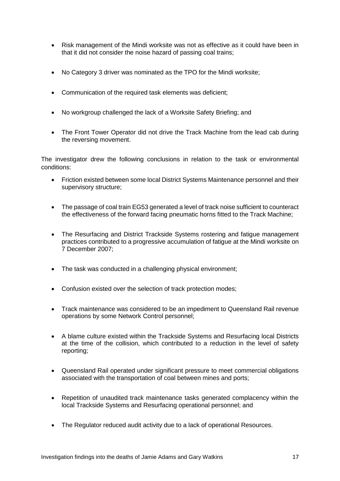- Risk management of the Mindi worksite was not as effective as it could have been in that it did not consider the noise hazard of passing coal trains;
- No Category 3 driver was nominated as the TPO for the Mindi worksite:
- Communication of the required task elements was deficient;
- No workgroup challenged the lack of a Worksite Safety Briefing; and
- The Front Tower Operator did not drive the Track Machine from the lead cab during the reversing movement.

The investigator drew the following conclusions in relation to the task or environmental conditions:

- Friction existed between some local District Systems Maintenance personnel and their supervisory structure;
- The passage of coal train EG53 generated a level of track noise sufficient to counteract the effectiveness of the forward facing pneumatic horns fitted to the Track Machine;
- The Resurfacing and District Trackside Systems rostering and fatigue management practices contributed to a progressive accumulation of fatigue at the Mindi worksite on 7 December 2007;
- The task was conducted in a challenging physical environment;
- Confusion existed over the selection of track protection modes;
- Track maintenance was considered to be an impediment to Queensland Rail revenue operations by some Network Control personnel;
- A blame culture existed within the Trackside Systems and Resurfacing local Districts at the time of the collision, which contributed to a reduction in the level of safety reporting;
- Queensland Rail operated under significant pressure to meet commercial obligations associated with the transportation of coal between mines and ports;
- Repetition of unaudited track maintenance tasks generated complacency within the local Trackside Systems and Resurfacing operational personnel; and
- The Regulator reduced audit activity due to a lack of operational Resources.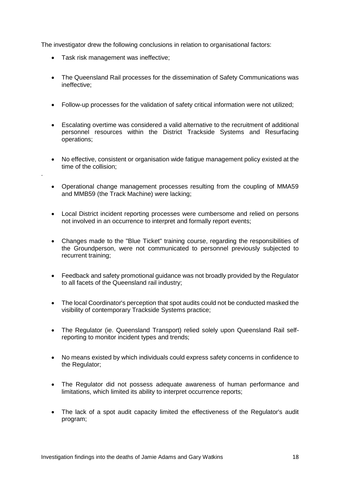The investigator drew the following conclusions in relation to organisational factors:

• Task risk management was ineffective:

.

- The Queensland Rail processes for the dissemination of Safety Communications was ineffective;
- Follow-up processes for the validation of safety critical information were not utilized;
- Escalating overtime was considered a valid alternative to the recruitment of additional personnel resources within the District Trackside Systems and Resurfacing operations;
- No effective, consistent or organisation wide fatigue management policy existed at the time of the collision;
- Operational change management processes resulting from the coupling of MMA59 and MMB59 (the Track Machine) were lacking;
- Local District incident reporting processes were cumbersome and relied on persons not involved in an occurrence to interpret and formally report events;
- Changes made to the "Blue Ticket" training course, regarding the responsibilities of the Groundperson, were not communicated to personnel previously subjected to recurrent training;
- Feedback and safety promotional guidance was not broadly provided by the Regulator to all facets of the Queensland rail industry;
- The local Coordinator's perception that spot audits could not be conducted masked the visibility of contemporary Trackside Systems practice;
- The Regulator (ie. Queensland Transport) relied solely upon Queensland Rail selfreporting to monitor incident types and trends;
- No means existed by which individuals could express safety concerns in confidence to the Regulator;
- The Regulator did not possess adequate awareness of human performance and limitations, which limited its ability to interpret occurrence reports;
- The lack of a spot audit capacity limited the effectiveness of the Regulator's audit program;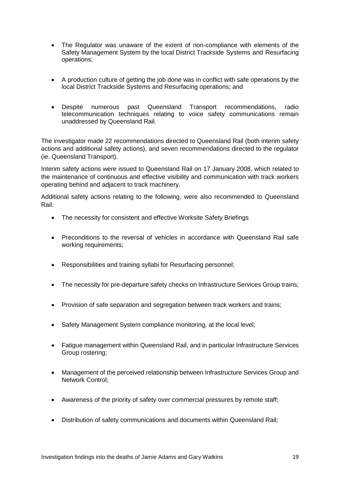- The Regulator was unaware of the extent of non-compliance with elements of the Safety Management System by the local District Trackside Systems and Resurfacing operations;
- A production culture of getting the job done was in conflict with safe operations by the local District Trackside Systems and Resurfacing operations; and
- Despite numerous past Queensland Transport recommendations, radio telecommunication techniques relating to voice safety communications remain unaddressed by Queensland Rail.

The investigator made 22 recommendations directed to Queensland Rail (both interim safety actions and additional safety actions), and seven recommendations directed to the regulator (ie. Queensland Transport).

Interim safety actions were issued to Queensland Rail on 17 January 2008, which related to the maintenance of continuous and effective visibility and communication with track workers operating behind and adjacent to track machinery.

Additional safety actions relating to the following, were also recommended to Queensland Rail:

- The necessity for consistent and effective Worksite Safety Briefings
- Preconditions to the reversal of vehicles in accordance with Queensland Rail safe working requirements;
- Responsibilities and training syllabi for Resurfacing personnel;
- The necessity for pre-departure safety checks on Infrastructure Services Group trains;
- Provision of safe separation and segregation between track workers and trains;
- Safety Management System compliance monitoring, at the local level;
- Fatigue management within Queensland Rail, and in particular Infrastructure Services Group rostering;
- Management of the perceived relationship between Infrastructure Services Group and Network Control;
- Awareness of the priority of safety over commercial pressures by remote staff;
- Distribution of safety communications and documents within Queensland Rail;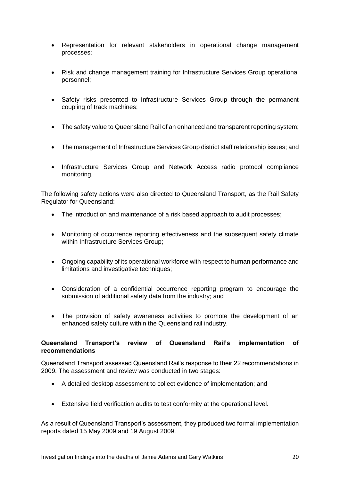- Representation for relevant stakeholders in operational change management processes;
- Risk and change management training for Infrastructure Services Group operational personnel;
- Safety risks presented to Infrastructure Services Group through the permanent coupling of track machines;
- The safety value to Queensland Rail of an enhanced and transparent reporting system;
- The management of Infrastructure Services Group district staff relationship issues; and
- Infrastructure Services Group and Network Access radio protocol compliance monitoring.

The following safety actions were also directed to Queensland Transport, as the Rail Safety Regulator for Queensland:

- The introduction and maintenance of a risk based approach to audit processes;
- Monitoring of occurrence reporting effectiveness and the subsequent safety climate within Infrastructure Services Group;
- Ongoing capability of its operational workforce with respect to human performance and limitations and investigative techniques;
- Consideration of a confidential occurrence reporting program to encourage the submission of additional safety data from the industry; and
- The provision of safety awareness activities to promote the development of an enhanced safety culture within the Queensland rail industry.

# **Queensland Transport's review of Queensland Rail's implementation of recommendations**

Queensland Transport assessed Queensland Rail's response to their 22 recommendations in 2009. The assessment and review was conducted in two stages:

- A detailed desktop assessment to collect evidence of implementation; and
- Extensive field verification audits to test conformity at the operational level.

As a result of Queensland Transport's assessment, they produced two formal implementation reports dated 15 May 2009 and 19 August 2009.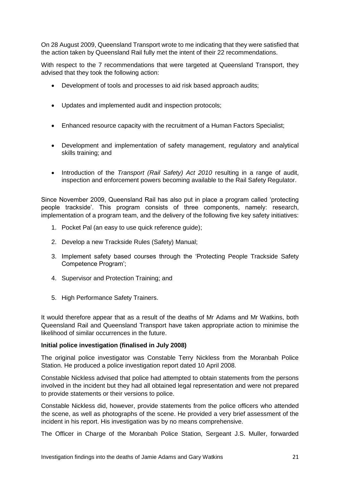On 28 August 2009, Queensland Transport wrote to me indicating that they were satisfied that the action taken by Queensland Rail fully met the intent of their 22 recommendations.

With respect to the 7 recommendations that were targeted at Queensland Transport, they advised that they took the following action:

- Development of tools and processes to aid risk based approach audits;
- Updates and implemented audit and inspection protocols;
- Enhanced resource capacity with the recruitment of a Human Factors Specialist;
- Development and implementation of safety management, regulatory and analytical skills training; and
- Introduction of the *Transport (Rail Safety) Act 2010* resulting in a range of audit, inspection and enforcement powers becoming available to the Rail Safety Regulator.

Since November 2009, Queensland Rail has also put in place a program called 'protecting people trackside'. This program consists of three components, namely: research, implementation of a program team, and the delivery of the following five key safety initiatives:

- 1. Pocket Pal (an easy to use quick reference guide);
- 2. Develop a new Trackside Rules (Safety) Manual;
- 3. Implement safety based courses through the 'Protecting People Trackside Safety Competence Program';
- 4. Supervisor and Protection Training; and
- 5. High Performance Safety Trainers.

It would therefore appear that as a result of the deaths of Mr Adams and Mr Watkins, both Queensland Rail and Queensland Transport have taken appropriate action to minimise the likelihood of similar occurrences in the future.

# **Initial police investigation (finalised in July 2008)**

The original police investigator was Constable Terry Nickless from the Moranbah Police Station. He produced a police investigation report dated 10 April 2008.

Constable Nickless advised that police had attempted to obtain statements from the persons involved in the incident but they had all obtained legal representation and were not prepared to provide statements or their versions to police.

Constable Nickless did, however, provide statements from the police officers who attended the scene, as well as photographs of the scene. He provided a very brief assessment of the incident in his report. His investigation was by no means comprehensive.

The Officer in Charge of the Moranbah Police Station, Sergeant J.S. Muller, forwarded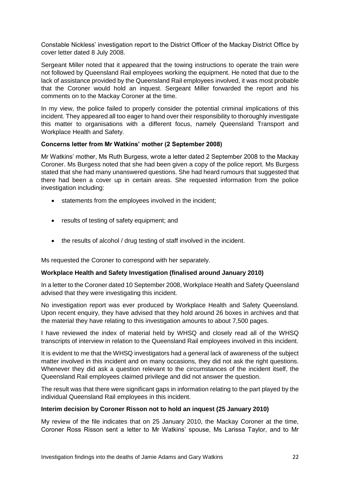Constable Nickless' investigation report to the District Officer of the Mackay District Office by cover letter dated 8 July 2008.

Sergeant Miller noted that it appeared that the towing instructions to operate the train were not followed by Queensland Rail employees working the equipment. He noted that due to the lack of assistance provided by the Queensland Rail employees involved, it was most probable that the Coroner would hold an inquest. Sergeant Miller forwarded the report and his comments on to the Mackay Coroner at the time.

In my view, the police failed to properly consider the potential criminal implications of this incident. They appeared all too eager to hand over their responsibility to thoroughly investigate this matter to organisations with a different focus, namely Queensland Transport and Workplace Health and Safety.

# **Concerns letter from Mr Watkins' mother (2 September 2008)**

Mr Watkins' mother, Ms Ruth Burgess, wrote a letter dated 2 September 2008 to the Mackay Coroner. Ms Burgess noted that she had been given a copy of the police report. Ms Burgess stated that she had many unanswered questions. She had heard rumours that suggested that there had been a cover up in certain areas. She requested information from the police investigation including:

- statements from the employees involved in the incident;
- results of testing of safety equipment; and
- the results of alcohol / drug testing of staff involved in the incident.

Ms requested the Coroner to correspond with her separately.

# **Workplace Health and Safety Investigation (finalised around January 2010)**

In a letter to the Coroner dated 10 September 2008, Workplace Health and Safety Queensland advised that they were investigating this incident.

No investigation report was ever produced by Workplace Health and Safety Queensland. Upon recent enquiry, they have advised that they hold around 26 boxes in archives and that the material they have relating to this investigation amounts to about 7,500 pages.

I have reviewed the index of material held by WHSQ and closely read all of the WHSQ transcripts of interview in relation to the Queensland Rail employees involved in this incident.

It is evident to me that the WHSQ investigators had a general lack of awareness of the subject matter involved in this incident and on many occasions, they did not ask the right questions. Whenever they did ask a question relevant to the circumstances of the incident itself, the Queensland Rail employees claimed privilege and did not answer the question.

The result was that there were significant gaps in information relating to the part played by the individual Queensland Rail employees in this incident.

#### **Interim decision by Coroner Risson not to hold an inquest (25 January 2010)**

My review of the file indicates that on 25 January 2010, the Mackay Coroner at the time, Coroner Ross Risson sent a letter to Mr Watkins' spouse, Ms Larissa Taylor, and to Mr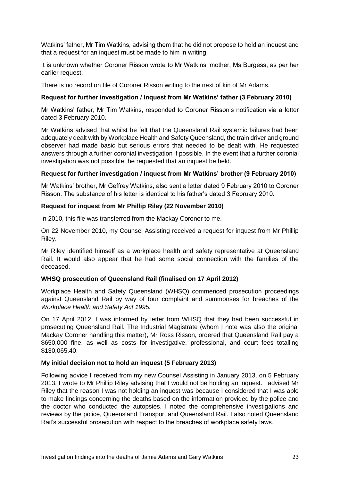Watkins' father, Mr Tim Watkins, advising them that he did not propose to hold an inquest and that a request for an inquest must be made to him in writing.

It is unknown whether Coroner Risson wrote to Mr Watkins' mother, Ms Burgess, as per her earlier request.

There is no record on file of Coroner Risson writing to the next of kin of Mr Adams.

# **Request for further investigation / inquest from Mr Watkins' father (3 February 2010)**

Mr Watkins' father, Mr Tim Watkins, responded to Coroner Risson's notification via a letter dated 3 February 2010.

Mr Watkins advised that whilst he felt that the Queensland Rail systemic failures had been adequately dealt with by Workplace Health and Safety Queensland, the train driver and ground observer had made basic but serious errors that needed to be dealt with. He requested answers through a further coronial investigation if possible. In the event that a further coronial investigation was not possible, he requested that an inquest be held.

#### **Request for further investigation / inquest from Mr Watkins' brother (9 February 2010)**

Mr Watkins' brother, Mr Geffrey Watkins, also sent a letter dated 9 February 2010 to Coroner Risson. The substance of his letter is identical to his father's dated 3 February 2010.

#### **Request for inquest from Mr Phillip Riley (22 November 2010)**

In 2010, this file was transferred from the Mackay Coroner to me.

On 22 November 2010, my Counsel Assisting received a request for inquest from Mr Phillip Riley.

Mr Riley identified himself as a workplace health and safety representative at Queensland Rail. It would also appear that he had some social connection with the families of the deceased.

# **WHSQ prosecution of Queensland Rail (finalised on 17 April 2012)**

Workplace Health and Safety Queensland (WHSQ) commenced prosecution proceedings against Queensland Rail by way of four complaint and summonses for breaches of the *Workplace Health and Safety Act 1995.*

On 17 April 2012, I was informed by letter from WHSQ that they had been successful in prosecuting Queensland Rail. The Industrial Magistrate (whom I note was also the original Mackay Coroner handling this matter), Mr Ross Risson, ordered that Queensland Rail pay a \$650,000 fine, as well as costs for investigative, professional, and court fees totalling \$130,065.40.

# **My initial decision not to hold an inquest (5 February 2013)**

Following advice I received from my new Counsel Assisting in January 2013, on 5 February 2013, I wrote to Mr Phillip Riley advising that I would not be holding an inquest. I advised Mr Riley that the reason I was not holding an inquest was because I considered that I was able to make findings concerning the deaths based on the information provided by the police and the doctor who conducted the autopsies. I noted the comprehensive investigations and reviews by the police, Queensland Transport and Queensland Rail. I also noted Queensland Rail's successful prosecution with respect to the breaches of workplace safety laws.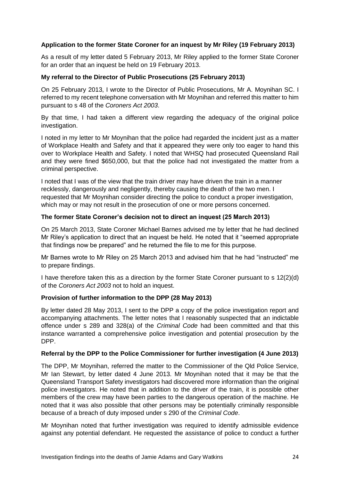# **Application to the former State Coroner for an inquest by Mr Riley (19 February 2013)**

As a result of my letter dated 5 February 2013, Mr Riley applied to the former State Coroner for an order that an inquest be held on 19 February 2013.

# **My referral to the Director of Public Prosecutions (25 February 2013)**

On 25 February 2013, I wrote to the Director of Public Prosecutions, Mr A. Moynihan SC. I referred to my recent telephone conversation with Mr Moynihan and referred this matter to him pursuant to s 48 of the *Coroners Act 2003*.

By that time, I had taken a different view regarding the adequacy of the original police investigation.

I noted in my letter to Mr Moynihan that the police had regarded the incident just as a matter of Workplace Health and Safety and that it appeared they were only too eager to hand this over to Workplace Health and Safety. I noted that WHSQ had prosecuted Queensland Rail and they were fined \$650,000, but that the police had not investigated the matter from a criminal perspective.

I noted that I was of the view that the train driver may have driven the train in a manner recklessly, dangerously and negligently, thereby causing the death of the two men. I requested that Mr Moynihan consider directing the police to conduct a proper investigation, which may or may not result in the prosecution of one or more persons concerned.

# **The former State Coroner's decision not to direct an inquest (25 March 2013)**

On 25 March 2013, State Coroner Michael Barnes advised me by letter that he had declined Mr Riley's application to direct that an inquest be held. He noted that it "seemed appropriate that findings now be prepared" and he returned the file to me for this purpose.

Mr Barnes wrote to Mr Riley on 25 March 2013 and advised him that he had "instructed" me to prepare findings.

I have therefore taken this as a direction by the former State Coroner pursuant to s 12(2)(d) of the *Coroners Act 2003* not to hold an inquest.

# **Provision of further information to the DPP (28 May 2013)**

By letter dated 28 May 2013, I sent to the DPP a copy of the police investigation report and accompanying attachments. The letter notes that I reasonably suspected that an indictable offence under s 289 and 328(a) of the *Criminal Code* had been committed and that this instance warranted a comprehensive police investigation and potential prosecution by the DPP.

# **Referral by the DPP to the Police Commissioner for further investigation (4 June 2013)**

The DPP, Mr Moynihan, referred the matter to the Commissioner of the Qld Police Service, Mr Ian Stewart, by letter dated 4 June 2013. Mr Moynihan noted that it may be that the Queensland Transport Safety investigators had discovered more information than the original police investigators. He noted that in addition to the driver of the train, it is possible other members of the crew may have been parties to the dangerous operation of the machine. He noted that it was also possible that other persons may be potentially criminally responsible because of a breach of duty imposed under s 290 of the *Criminal Code*.

Mr Moynihan noted that further investigation was required to identify admissible evidence against any potential defendant. He requested the assistance of police to conduct a further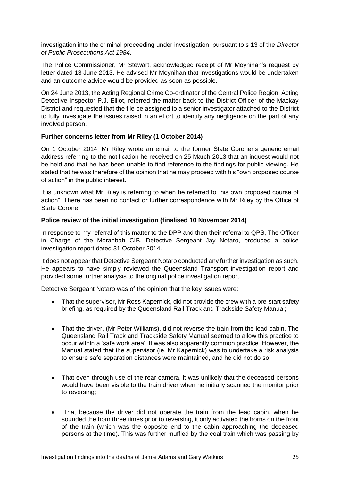investigation into the criminal proceeding under investigation, pursuant to s 13 of the *Director of Public Prosecutions Act 1984*.

The Police Commissioner, Mr Stewart, acknowledged receipt of Mr Moynihan's request by letter dated 13 June 2013. He advised Mr Moynihan that investigations would be undertaken and an outcome advice would be provided as soon as possible.

On 24 June 2013, the Acting Regional Crime Co-ordinator of the Central Police Region, Acting Detective Inspector P.J. Elliot, referred the matter back to the District Officer of the Mackay District and requested that the file be assigned to a senior investigator attached to the District to fully investigate the issues raised in an effort to identify any negligence on the part of any involved person.

# **Further concerns letter from Mr Riley (1 October 2014)**

On 1 October 2014, Mr Riley wrote an email to the former State Coroner's generic email address referring to the notification he received on 25 March 2013 that an inquest would not be held and that he has been unable to find reference to the findings for public viewing. He stated that he was therefore of the opinion that he may proceed with his "own proposed course of action" in the public interest.

It is unknown what Mr Riley is referring to when he referred to "his own proposed course of action". There has been no contact or further correspondence with Mr Riley by the Office of State Coroner.

# **Police review of the initial investigation (finalised 10 November 2014)**

In response to my referral of this matter to the DPP and then their referral to QPS, The Officer in Charge of the Moranbah CIB, Detective Sergeant Jay Notaro, produced a police investigation report dated 31 October 2014.

It does not appear that Detective Sergeant Notaro conducted any further investigation as such. He appears to have simply reviewed the Queensland Transport investigation report and provided some further analysis to the original police investigation report.

Detective Sergeant Notaro was of the opinion that the key issues were:

- That the supervisor, Mr Ross Kapernick, did not provide the crew with a pre-start safety briefing, as required by the Queensland Rail Track and Trackside Safety Manual;
- That the driver, (Mr Peter Williams), did not reverse the train from the lead cabin. The Queensland Rail Track and Trackside Safety Manual seemed to allow this practice to occur within a 'safe work area'. It was also apparently common practice. However, the Manual stated that the supervisor (ie. Mr Kapernick) was to undertake a risk analysis to ensure safe separation distances were maintained, and he did not do so;
- That even through use of the rear camera, it was unlikely that the deceased persons would have been visible to the train driver when he initially scanned the monitor prior to reversing;
- That because the driver did not operate the train from the lead cabin, when he sounded the horn three times prior to reversing, it only activated the horns on the front of the train (which was the opposite end to the cabin approaching the deceased persons at the time). This was further muffled by the coal train which was passing by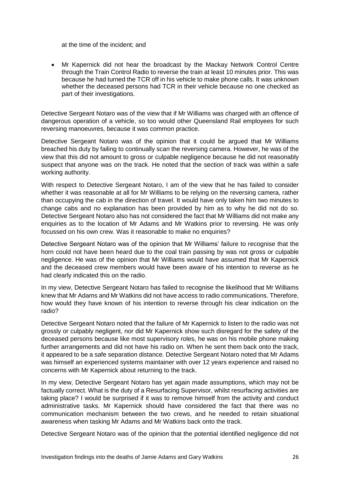at the time of the incident; and

 Mr Kapernick did not hear the broadcast by the Mackay Network Control Centre through the Train Control Radio to reverse the train at least 10 minutes prior. This was because he had turned the TCR off in his vehicle to make phone calls. It was unknown whether the deceased persons had TCR in their vehicle because no one checked as part of their investigations.

Detective Sergeant Notaro was of the view that if Mr Williams was charged with an offence of dangerous operation of a vehicle, so too would other Queensland Rail employees for such reversing manoeuvres, because it was common practice.

Detective Sergeant Notaro was of the opinion that it could be argued that Mr Williams breached his duty by failing to continually scan the reversing camera. However, he was of the view that this did not amount to gross or culpable negligence because he did not reasonably suspect that anyone was on the track. He noted that the section of track was within a safe working authority.

With respect to Detective Sergeant Notaro, I am of the view that he has failed to consider whether it was reasonable at all for Mr Williams to be relying on the reversing camera, rather than occupying the cab in the direction of travel. It would have only taken him two minutes to change cabs and no explanation has been provided by him as to why he did not do so. Detective Sergeant Notaro also has not considered the fact that Mr Williams did not make any enquiries as to the location of Mr Adams and Mr Watkins prior to reversing. He was only focussed on his own crew. Was it reasonable to make no enquiries?

Detective Sergeant Notaro was of the opinion that Mr Williams' failure to recognise that the horn could not have been heard due to the coal train passing by was not gross or culpable negligence. He was of the opinion that Mr Williams would have assumed that Mr Kapernick and the deceased crew members would have been aware of his intention to reverse as he had clearly indicated this on the radio.

In my view, Detective Sergeant Notaro has failed to recognise the likelihood that Mr Williams knew that Mr Adams and Mr Watkins did not have access to radio communications. Therefore, how would they have known of his intention to reverse through his clear indication on the radio?

Detective Sergeant Notaro noted that the failure of Mr Kapernick to listen to the radio was not grossly or culpably negligent, nor did Mr Kapernick show such disregard for the safety of the deceased persons because like most supervisory roles, he was on his mobile phone making further arrangements and did not have his radio on. When he sent them back onto the track, it appeared to be a safe separation distance. Detective Sergeant Notaro noted that Mr Adams was himself an experienced systems maintainer with over 12 years experience and raised no concerns with Mr Kapernick about returning to the track.

In my view, Detective Sergeant Notaro has yet again made assumptions, which may not be factually correct. What is the duty of a Resurfacing Supervisor, whilst resurfacing activities are taking place? I would be surprised if it was to remove himself from the activity and conduct administrative tasks. Mr Kapernick should have considered the fact that there was no communication mechanism between the two crews, and he needed to retain situational awareness when tasking Mr Adams and Mr Watkins back onto the track.

Detective Sergeant Notaro was of the opinion that the potential identified negligence did not